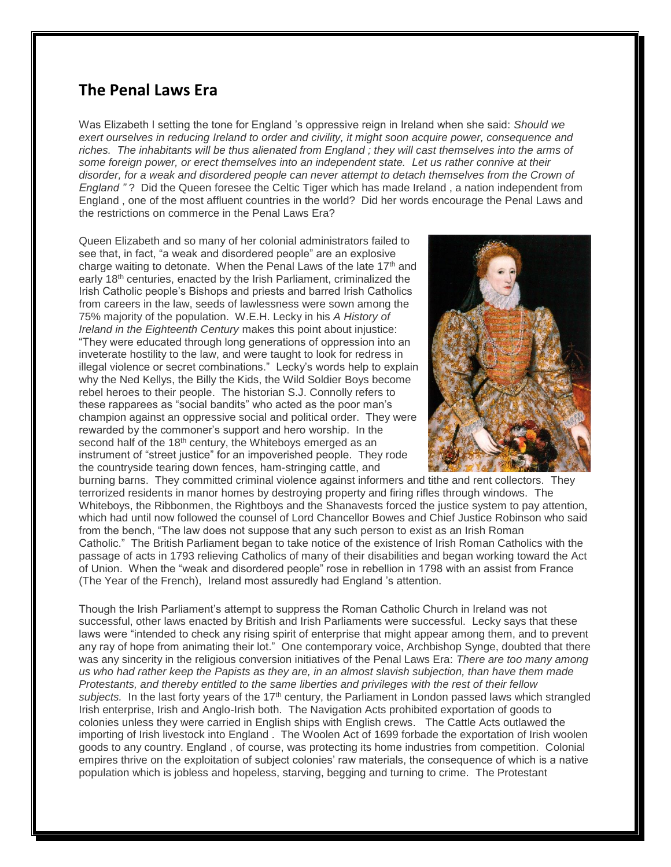## **The Penal Laws Era**

Was Elizabeth I setting the tone for England 's oppressive reign in Ireland when she said: *Should we exert ourselves in reducing Ireland to order and civility, it might soon acquire power, consequence and riches. The inhabitants will be thus alienated from England ; they will cast themselves into the arms of some foreign power, or erect themselves into an independent state. Let us rather connive at their disorder, for a weak and disordered people can never attempt to detach themselves from the Crown of England "* ? Did the Queen foresee the Celtic Tiger which has made Ireland , a nation independent from England , one of the most affluent countries in the world? Did her words encourage the Penal Laws and the restrictions on commerce in the Penal Laws Era?

Queen Elizabeth and so many of her colonial administrators failed to see that, in fact, "a weak and disordered people" are an explosive charge waiting to detonate. When the Penal Laws of the late 17<sup>th</sup> and early 18th centuries, enacted by the Irish Parliament, criminalized the Irish Catholic people's Bishops and priests and barred Irish Catholics from careers in the law, seeds of lawlessness were sown among the 75% majority of the population. W.E.H. Lecky in his *A History of Ireland in the Eighteenth Century* makes this point about injustice: "They were educated through long generations of oppression into an inveterate hostility to the law, and were taught to look for redress in illegal violence or secret combinations." Lecky's words help to explain why the Ned Kellys, the Billy the Kids, the Wild Soldier Boys become rebel heroes to their people. The historian S.J. Connolly refers to these rapparees as "social bandits" who acted as the poor man's champion against an oppressive social and political order. They were rewarded by the commoner's support and hero worship. In the second half of the 18<sup>th</sup> century, the Whiteboys emerged as an instrument of "street justice" for an impoverished people. They rode the countryside tearing down fences, ham-stringing cattle, and



burning barns. They committed criminal violence against informers and tithe and rent collectors. They terrorized residents in manor homes by destroying property and firing rifles through windows. The Whiteboys, the Ribbonmen, the Rightboys and the Shanavests forced the justice system to pay attention, which had until now followed the counsel of Lord Chancellor Bowes and Chief Justice Robinson who said from the bench, "The law does not suppose that any such person to exist as an Irish Roman Catholic." The British Parliament began to take notice of the existence of Irish Roman Catholics with the passage of acts in 1793 relieving Catholics of many of their disabilities and began working toward the Act of Union. When the "weak and disordered people" rose in rebellion in 1798 with an assist from France (The Year of the French), Ireland most assuredly had England 's attention.

Though the Irish Parliament's attempt to suppress the Roman Catholic Church in Ireland was not successful, other laws enacted by British and Irish Parliaments were successful. Lecky says that these laws were "intended to check any rising spirit of enterprise that might appear among them, and to prevent any ray of hope from animating their lot." One contemporary voice, Archbishop Synge, doubted that there was any sincerity in the religious conversion initiatives of the Penal Laws Era: *There are too many among us who had rather keep the Papists as they are, in an almost slavish subjection, than have them made Protestants, and thereby entitled to the same liberties and privileges with the rest of their fellow subjects.* In the last forty years of the 17th century, the Parliament in London passed laws which strangled Irish enterprise, Irish and Anglo-Irish both. The Navigation Acts prohibited exportation of goods to colonies unless they were carried in English ships with English crews. The Cattle Acts outlawed the importing of Irish livestock into England . The Woolen Act of 1699 forbade the exportation of Irish woolen goods to any country. England , of course, was protecting its home industries from competition. Colonial empires thrive on the exploitation of subject colonies' raw materials, the consequence of which is a native population which is jobless and hopeless, starving, begging and turning to crime. The Protestant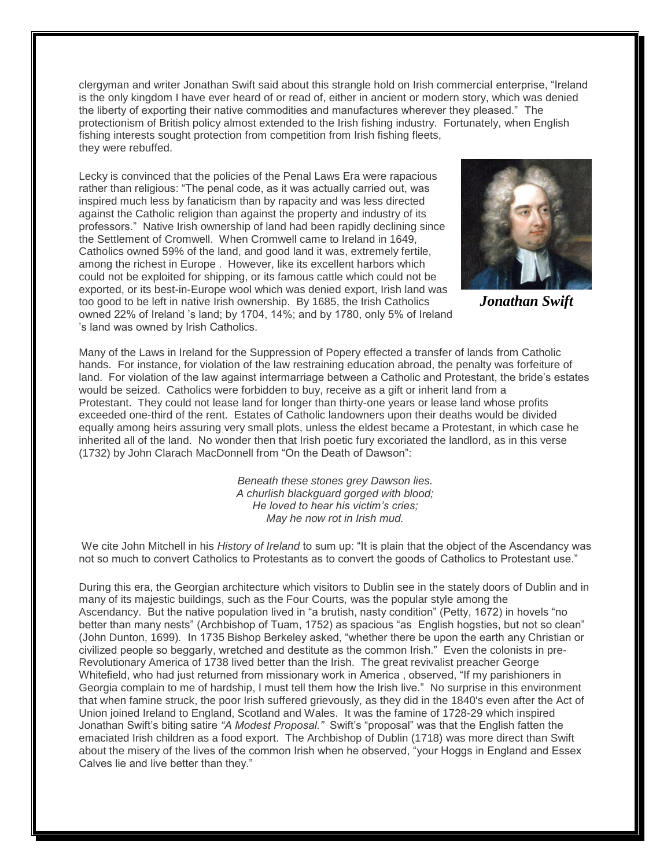clergyman and writer Jonathan Swift said about this strangle hold on Irish commercial enterprise, "Ireland is the only kingdom I have ever heard of or read of, either in ancient or modern story, which was denied the liberty of exporting their native commodities and manufactures wherever they pleased." The protectionism of British policy almost extended to the Irish fishing industry. Fortunately, when English fishing interests sought protection from competition from Irish fishing fleets, they were rebuffed.

Lecky is convinced that the policies of the Penal Laws Era were rapacious rather than religious: "The penal code, as it was actually carried out, was inspired much less by fanaticism than by rapacity and was less directed against the Catholic religion than against the property and industry of its professors." Native Irish ownership of land had been rapidly declining since the Settlement of Cromwell. When Cromwell came to Ireland in 1649, Catholics owned 59% of the land, and good land it was, extremely fertile, among the richest in Europe . However, like its excellent harbors which could not be exploited for shipping, or its famous cattle which could not be exported, or its best-in-Europe wool which was denied export, Irish land was too good to be left in native Irish ownership. By 1685, the Irish Catholics owned 22% of Ireland 's land; by 1704, 14%; and by 1780, only 5% of Ireland 's land was owned by Irish Catholics.



*Jonathan Swift*

Many of the Laws in Ireland for the Suppression of Popery effected a transfer of lands from Catholic hands. For instance, for violation of the law restraining education abroad, the penalty was forfeiture of land. For violation of the law against intermarriage between a Catholic and Protestant, the bride's estates would be seized. Catholics were forbidden to buy, receive as a gift or inherit land from a Protestant. They could not lease land for longer than thirty-one years or lease land whose profits exceeded one-third of the rent. Estates of Catholic landowners upon their deaths would be divided equally among heirs assuring very small plots, unless the eldest became a Protestant, in which case he inherited all of the land. No wonder then that Irish poetic fury excoriated the landlord, as in this verse (1732) by John Clarach MacDonnell from "On the Death of Dawson":

> *Beneath these stones grey Dawson lies. A churlish blackguard gorged with blood; He loved to hear his victim's cries; May he now rot in Irish mud.*

We cite John Mitchell in his *History of Ireland* to sum up: "It is plain that the object of the Ascendancy was not so much to convert Catholics to Protestants as to convert the goods of Catholics to Protestant use."

During this era, the Georgian architecture which visitors to Dublin see in the stately doors of Dublin and in many of its majestic buildings, such as the Four Courts*,* was the popular style among the Ascendancy. But the native population lived in "a brutish, nasty condition" (Petty, 1672) in hovels "no better than many nests" (Archbishop of Tuam, 1752) as spacious "as English hogsties, but not so clean" (John Dunton, 1699)*.* In 1735 Bishop Berkeley asked, "whether there be upon the earth any Christian or civilized people so beggarly, wretched and destitute as the common Irish." Even the colonists in pre-Revolutionary America of 1738 lived better than the Irish. The great revivalist preacher George Whitefield, who had just returned from missionary work in America , observed, "If my parishioners in Georgia complain to me of hardship, I must tell them how the Irish live." No surprise in this environment that when famine struck, the poor Irish suffered grievously, as they did in the 1840's even after the Act of Union joined Ireland to England, Scotland and Wales. It was the famine of 1728-29 which inspired Jonathan Swift's biting satire *"A Modest Proposal."* Swift's "proposal" was that the English fatten the emaciated Irish children as a food export. The Archbishop of Dublin (1718) was more direct than Swift about the misery of the lives of the common Irish when he observed, "your Hoggs in England and Essex Calves lie and live better than they."